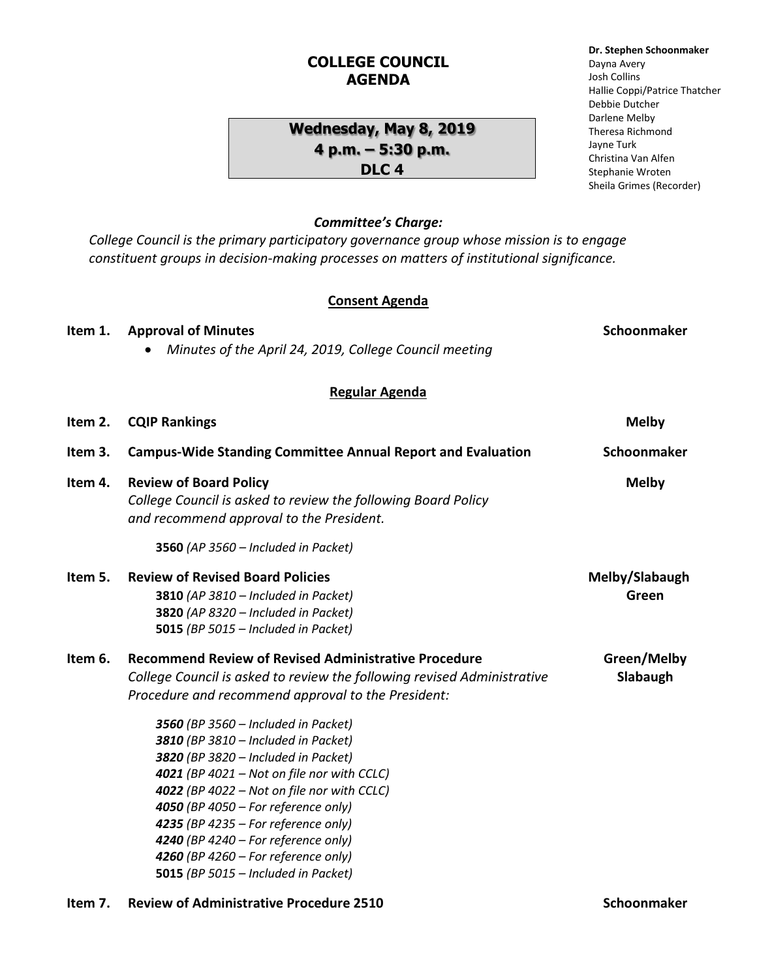## **COLLEGE COUNCIL AGENDA**

## **Wednesday, May 8, 2019 4 p.m. – 5:30 p.m. DLC 4**

### *Committee's Charge:*

*College Council is the primary participatory governance group whose mission is to engage constituent groups in decision-making processes on matters of institutional significance.* 

#### **Consent Agenda**

**Item 1.** Approval of Minutes **Schoonmaker Schoonmaker Schoonmaker Schoonmaker** 

# *Minutes of the April 24, 2019, College Council meeting* **Regular Agenda Item 2. CQIP Rankings Melby Item 3. Campus-Wide Standing Committee Annual Report and Evaluation Schoonmaker Item 4. Review of Board Policy Melby** *College Council is asked to review the following Board Policy and recommend approval to the President.* **3560** *(AP 3560 – Included in Packet)* **Item 5. Review of Revised Board Policies Melby/Slabaugh 3810** *(AP 3810 – Included in Packet)* **Green 3820** *(AP 8320 – Included in Packet)* **5015** *(BP 5015 – Included in Packet)* **Item 6.** Recommend Review of Revised Administrative Procedure **Green/Melby** *College Council is asked to review the following revised Administrative* **Slabaugh** *Procedure and recommend approval to the President: 3560 (BP 3560 – Included in Packet) 3810 (BP 3810 – Included in Packet) 3820 (BP 3820 – Included in Packet) 4021 (BP 4021 – Not on file nor with CCLC) 4022 (BP 4022 – Not on file nor with CCLC) 4050 (BP 4050 – For reference only) 4235 (BP 4235 – For reference only) 4240 (BP 4240 – For reference only) 4260 (BP 4260 – For reference only)* **5015** *(BP 5015 – Included in Packet)* **Item 7. • Review of Administrative Procedure 2510 Schoonmaker Schoonmaker**

**Dr. Stephen Schoonmaker**

Hallie Coppi/Patrice Thatcher

Dayna Avery Josh Collins

Debbie Dutcher Darlene Melby Theresa Richmond Jayne Turk Christina Van Alfen Stephanie Wroten Sheila Grimes (Recorder)